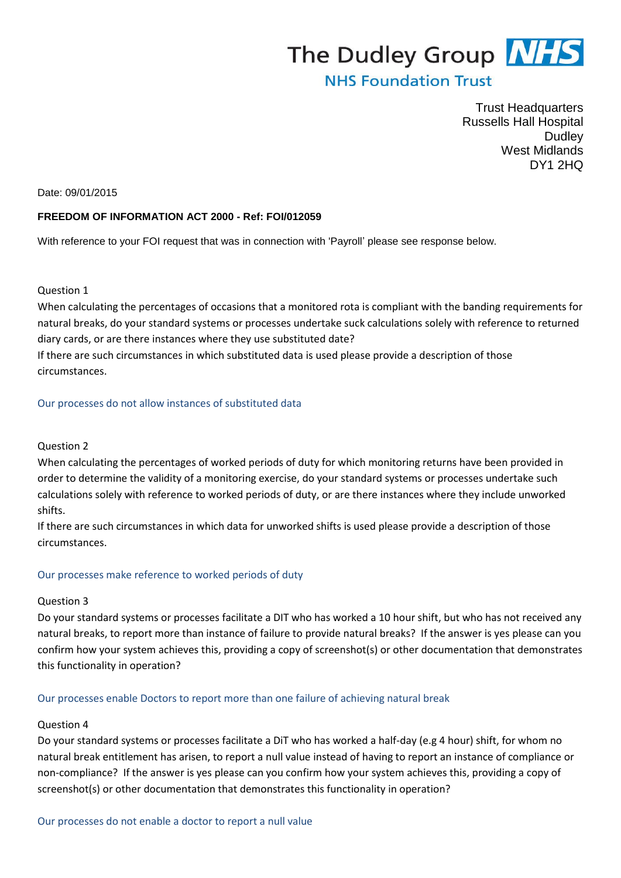# The Dudley Group NHS

## **NHS Foundation Trust**

Trust Headquarters Russells Hall Hospital Dudley West Midlands DY1 2HQ

#### Date: 09/01/2015

#### **FREEDOM OF INFORMATION ACT 2000 - Ref: FOI/012059**

With reference to your FOI request that was in connection with 'Payroll' please see response below.

#### Question 1

When calculating the percentages of occasions that a monitored rota is compliant with the banding requirements for natural breaks, do your standard systems or processes undertake suck calculations solely with reference to returned diary cards, or are there instances where they use substituted date? If there are such circumstances in which substituted data is used please provide a description of those circumstances.

Our processes do not allow instances of substituted data

#### Question 2

When calculating the percentages of worked periods of duty for which monitoring returns have been provided in order to determine the validity of a monitoring exercise, do your standard systems or processes undertake such calculations solely with reference to worked periods of duty, or are there instances where they include unworked shifts.

If there are such circumstances in which data for unworked shifts is used please provide a description of those circumstances.

#### Our processes make reference to worked periods of duty

#### Question 3

Do your standard systems or processes facilitate a DIT who has worked a 10 hour shift, but who has not received any natural breaks, to report more than instance of failure to provide natural breaks? If the answer is yes please can you confirm how your system achieves this, providing a copy of screenshot(s) or other documentation that demonstrates this functionality in operation?

#### Our processes enable Doctors to report more than one failure of achieving natural break

#### Question 4

Do your standard systems or processes facilitate a DiT who has worked a half-day (e.g 4 hour) shift, for whom no natural break entitlement has arisen, to report a null value instead of having to report an instance of compliance or non-compliance? If the answer is yes please can you confirm how your system achieves this, providing a copy of screenshot(s) or other documentation that demonstrates this functionality in operation?